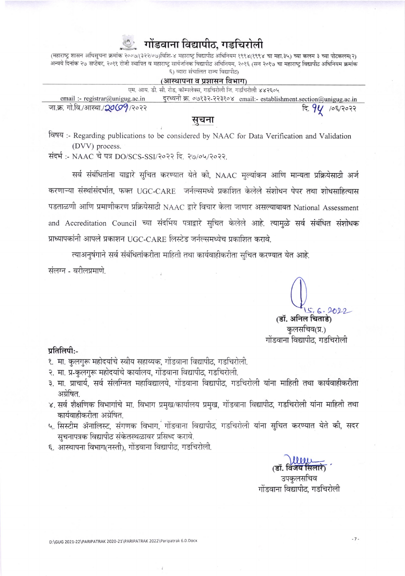## गोंडवाना विद्यापीठ, गडचिरोली

(महाराष्ट्र शासन अधिसूचना क्रमांक २००७/(३२२/०७)विशि-४ महाराष्ट्र विद्यापीठ अधिनियम १९९४(१९९४ चा महा.३५) च्या कलम ३ च्या पोटकलम(२) अन्वये दिनांक २७ सप्टेंबर, २०११ रोजी स्थापित व महाराष्ट्र सार्वजनिक विद्यापीठ अधिनियम, २०१६ (सन २०१७ चा महाराष्ट्र विद्यापीठ अधिनियम क्रमांक ६) व्वारा संचालित राज्य विद्यापीठ)

#### (आस्थापना व प्रशासन विभाग)

|                                           | एम. आय. डी. सी. रोड, कॉम्पलेक्स, गडचिरोली जि. गडचिरोली ४४२६०५ |                                                                        |
|-------------------------------------------|---------------------------------------------------------------|------------------------------------------------------------------------|
| email :- registrar@unigug.ac.in           |                                                               | दरध्वनी क्र. ०७१३२-२२३१०४   email:- establishment.section@unigug.ac.in |
| जा.क्र. गो.वि./आस्था./ <b>20(99</b> /२०२२ |                                                               | दि. $9$ $\mu$ /०६/२०२२                                                 |

### सूचना

विषय:- Regarding publications to be considered by NAAC for Data Verification and Validation (DVV) process.

संदर्भ :- NAAC चे पत्र DO/SCS-SSI/२०२२ दि. २७/०५/२०२२.

सर्व संबंधितांना याद्वारे सुचित करण्यात येते की, NAAC मुल्यांकन आणि मान्यता प्रक्रियेसाठी अर्ज करणाऱ्या संस्थांसंदर्भात, फक्त UGC-CARE जर्नल्समध्ये प्रकाशित केलेले संशोधन पेपर तथा शोधसाहित्यास पडताळणी आणि प्रमाणीकरण प्रक्रियेसाठी NAAC द्वारे विचार केला जाणार असल्याबाबत National Assessment and Accreditation Council च्या संदर्भिय पत्राद्वारे सचित केलेले आहे. त्यामुळे सर्व संबंधित संशोधक प्राध्यापकांनी आपले प्रकाशन UGC-CARE लिस्टेड जर्नल्समध्येच प्रकाशित करावे.

त्याअनुषंगाने सर्व संबंधितांकरीता माहिती तथा कार्यवाहीकरीता सुचित करण्यात येत आहे.

संलग्न - वरीलप्रमाणे

 $15.6.2022$ 

(डॉ. अनिल चिताडे) कुलसचिव(प्र.) गोंडवाना विद्यापीठ. गडचिरोली

#### प्रतिलिपी:-

- १. मा. कुलगुरू महोदयांचे स्वीय सहाय्यक, गोंडवाना विद्यापीठ, गडचिरोली.
- २. मा. प्र-कुलगुरू महोदयांचे कार्यालय, गोंडवाना विद्यापीठ, गडचिरोली.
- ३. मा. प्राचार्य, सर्व संलग्नित महाविद्यालये, गोंडवाना विद्यापीठ, गडचिरोली यांना माहिती तथा कार्यवाहीकरीता अग्रेषित.
- ४. सर्व शैक्षणिक विभागांचे मा. विभाग प्रमुख/कार्यालय प्रमुख, गोंडवाना विद्यापीठ, गडचिरोली यांना माहिती तथा कार्यवाहीकरीता अग्रेषित.
- ५. सिस्टीम ॲनालिस्ट, संगणक विभाग, गोंडवाना विद्यापीठ, गडचिरोली यांना सुचित करण्यात येते की, सदर सचनापत्रक विद्यापीठ संकेतस्थळावर प्रसिध्द करावे.
- ६. आस्थापना विभाग(नस्ती), गोंडवाना विद्यापीट, गडचिरोली.

उपकुलसचिव गोंडवाना विद्यापीठ. गडचिरोली